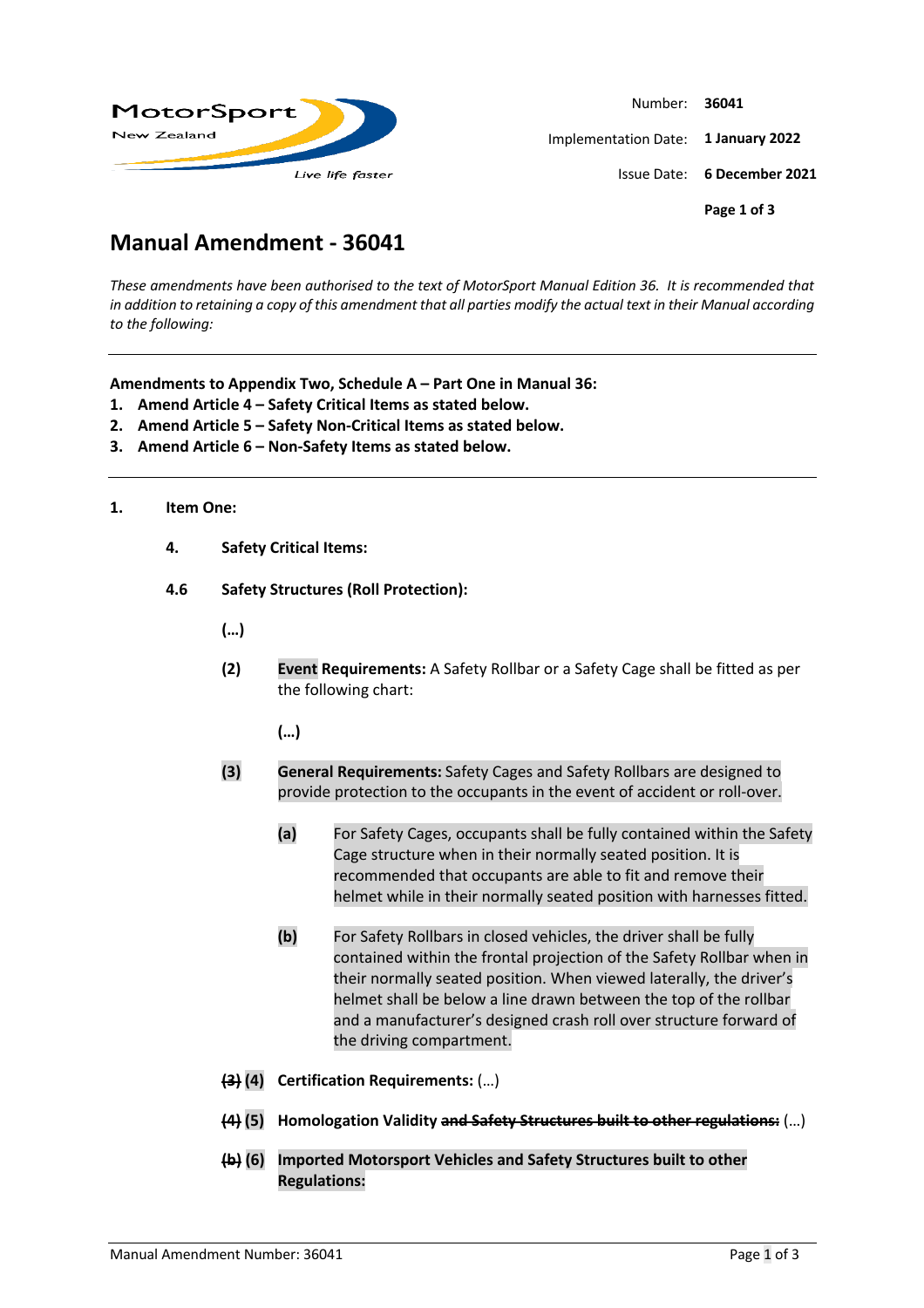

Number: **36041** Implementation Date: **1 January 2022** Issue Date: **6 December 2021 Page 1 of 3**

# **Manual Amendment - 36041**

*These amendments have been authorised to the text of MotorSport Manual Edition 36. It is recommended that*  in addition to retaining a copy of this amendment that all parties modify the actual text in their Manual according *to the following:*

**Amendments to Appendix Two, Schedule A – Part One in Manual 36:**

- **1. Amend Article 4 – Safety Critical Items as stated below.**
- **2. Amend Article 5 – Safety Non-Critical Items as stated below.**
- **3. Amend Article 6 – Non-Safety Items as stated below.**

## **1. Item One:**

- **4. Safety Critical Items:**
- **4.6 Safety Structures (Roll Protection):**
	- **(…)**
	- **(2) Event Requirements:** A Safety Rollbar or a Safety Cage shall be fitted as per the following chart:

**(…)**

- **(3) General Requirements:** Safety Cages and Safety Rollbars are designed to provide protection to the occupants in the event of accident or roll-over.
	- **(a)** For Safety Cages, occupants shall be fully contained within the Safety Cage structure when in their normally seated position. It is recommended that occupants are able to fit and remove their helmet while in their normally seated position with harnesses fitted.
	- **(b)** For Safety Rollbars in closed vehicles, the driver shall be fully contained within the frontal projection of the Safety Rollbar when in their normally seated position. When viewed laterally, the driver's helmet shall be below a line drawn between the top of the rollbar and a manufacturer's designed crash roll over structure forward of the driving compartment.
- **(3) (4) Certification Requirements:** (…)
- **(4) (5) Homologation Validity and Safety Structures built to other regulations:** (…)
- **(b) (6) Imported Motorsport Vehicles and Safety Structures built to other Regulations:**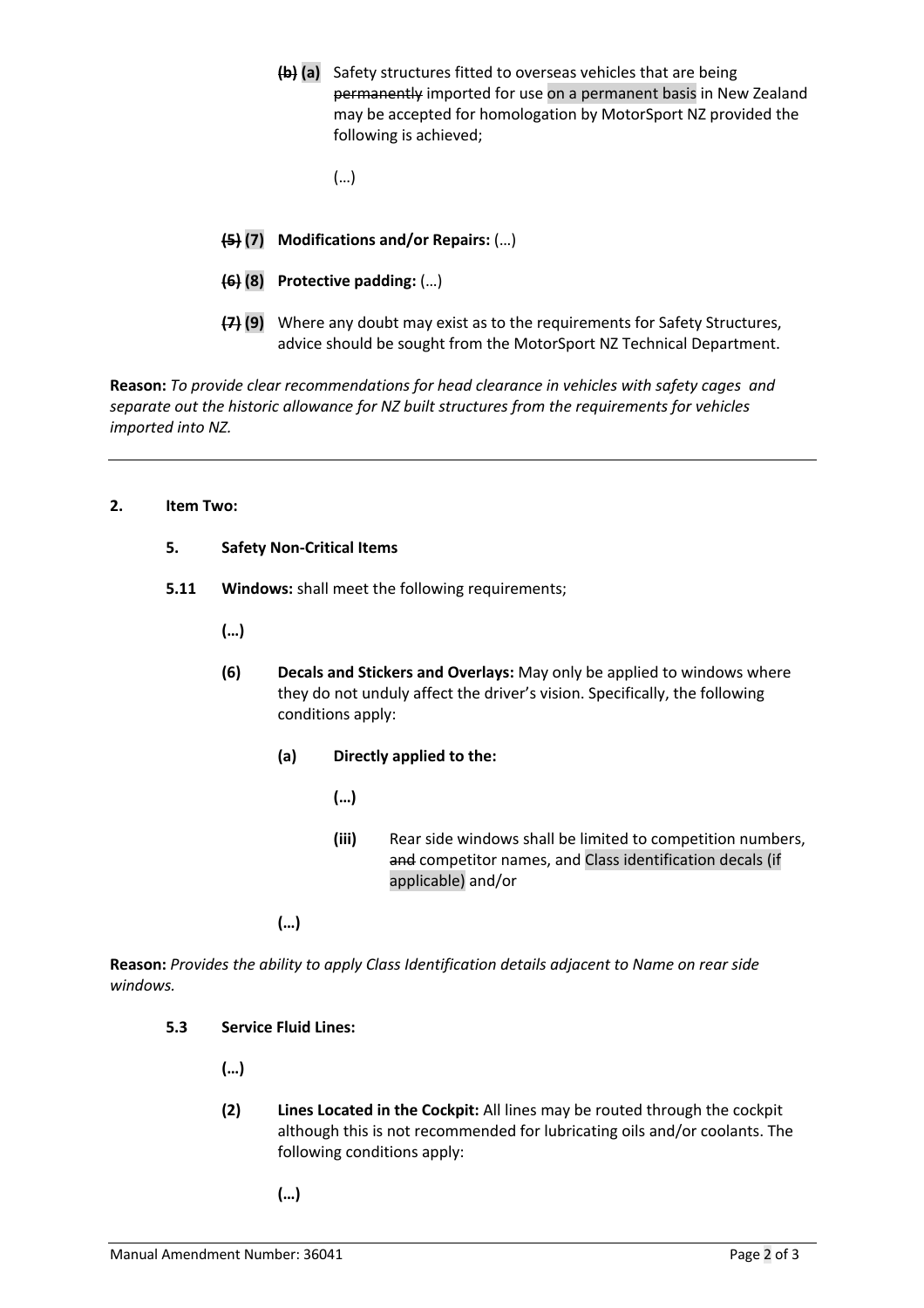- **(b) (a)** Safety structures fitted to overseas vehicles that are being permanently imported for use on a permanent basis in New Zealand may be accepted for homologation by MotorSport NZ provided the following is achieved;
	- (…)
- **(5) (7) Modifications and/or Repairs:** (…)
- **(6) (8) Protective padding:** (…)
- **(7) (9)** Where any doubt may exist as to the requirements for Safety Structures, advice should be sought from the MotorSport NZ Technical Department.

**Reason:** *To provide clear recommendations for head clearance in vehicles with safety cages and separate out the historic allowance for NZ built structures from the requirements for vehicles imported into NZ.*

#### **2. Item Two:**

## **5. Safety Non-Critical Items**

**5.11 Windows:** shall meet the following requirements;

**(…)**

- **(6) Decals and Stickers and Overlays:** May only be applied to windows where they do not unduly affect the driver's vision. Specifically, the following conditions apply:
	- **(a) Directly applied to the:**
		- **(…)**
		- **(iii)** Rear side windows shall be limited to competition numbers, and competitor names, and Class identification decals (if applicable) and/or

**(…)**

**Reason:** *Provides the ability to apply Class Identification details adjacent to Name on rear side windows.*

## **5.3 Service Fluid Lines:**

**(…)**

- **(2) Lines Located in the Cockpit:** All lines may be routed through the cockpit although this is not recommended for lubricating oils and/or coolants. The following conditions apply:
	- **(…)**